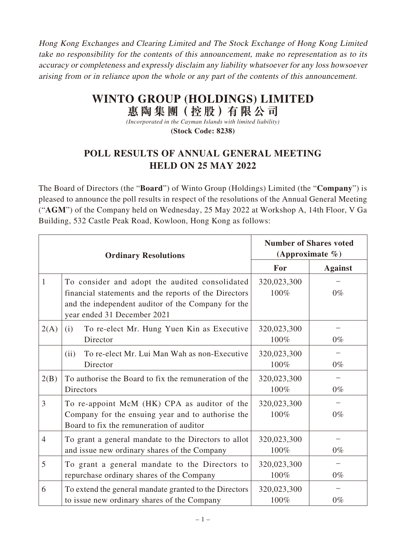Hong Kong Exchanges and Clearing Limited and The Stock Exchange of Hong Kong Limited take no responsibility for the contents of this announcement, make no representation as to its accuracy or completeness and expressly disclaim any liability whatsoever for any loss howsoever arising from or in reliance upon the whole or any part of the contents of this announcement.

## **WINTO GROUP (HOLDINGS) LIMITED 惠陶集團(控股)有限公司**

*(Incorporated in the Cayman Islands with limited liability)* **(Stock Code: 8238)**

## **POLL RESULTS OF ANNUAL GENERAL MEETING HELD ON 25 MAY 2022**

The Board of Directors (the "**Board**") of Winto Group (Holdings) Limited (the "**Company**") is pleased to announce the poll results in respect of the resolutions of the Annual General Meeting ("**AGM**") of the Company held on Wednesday, 25 May 2022 at Workshop A, 14th Floor, V Ga Building, 532 Castle Peak Road, Kowloon, Hong Kong as follows:

| <b>Ordinary Resolutions</b> |                                                                                                                                                                                              | <b>Number of Shares voted</b><br>(Approximate $\%$ ) |                |
|-----------------------------|----------------------------------------------------------------------------------------------------------------------------------------------------------------------------------------------|------------------------------------------------------|----------------|
|                             |                                                                                                                                                                                              | For                                                  | <b>Against</b> |
| $\mathbf{1}$                | To consider and adopt the audited consolidated<br>financial statements and the reports of the Directors<br>and the independent auditor of the Company for the<br>year ended 31 December 2021 | 320,023,300<br>100%                                  | $0\%$          |
| 2(A)                        | To re-elect Mr. Hung Yuen Kin as Executive<br>(i)<br>Director                                                                                                                                | 320,023,300<br>100%                                  | $0\%$          |
|                             | To re-elect Mr. Lui Man Wah as non-Executive<br>(ii)<br>Director                                                                                                                             | 320,023,300<br>100%                                  | $0\%$          |
| 2(B)                        | To authorise the Board to fix the remuneration of the<br>Directors                                                                                                                           | 320,023,300<br>100%                                  | $0\%$          |
| 3                           | To re-appoint McM (HK) CPA as auditor of the<br>Company for the ensuing year and to authorise the<br>Board to fix the remuneration of auditor                                                | 320,023,300<br>100%                                  | $0\%$          |
| $\overline{4}$              | To grant a general mandate to the Directors to allot<br>and issue new ordinary shares of the Company                                                                                         | 320,023,300<br>100%                                  | $0\%$          |
| 5                           | To grant a general mandate to the Directors to<br>repurchase ordinary shares of the Company                                                                                                  | 320,023,300<br>100%                                  | $0\%$          |
| 6                           | To extend the general mandate granted to the Directors<br>to issue new ordinary shares of the Company                                                                                        | 320,023,300<br>100%                                  | $0\%$          |